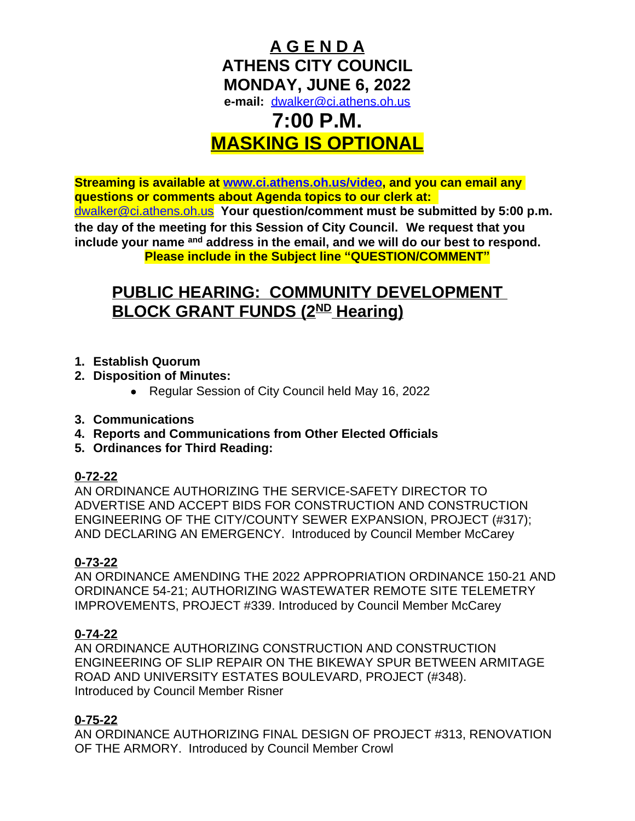

# **MASKING IS OPTIONAL**

**Streaming is available at [www.ci.athens.oh.us/video,](http://www.ci.athens.oh.us/video) and you can email any questions or comments about Agenda topics to our clerk at:**  [dwalker@ci.athens.oh.us](mailto:dwalker@ci.athens.oh.us) **Your question/comment must be submitted by 5:00 p.m. the day of the meeting for this Session of City Council. We request that you include your name and address in the email, and we will do our best to respond. Please include in the Subject line "QUESTION/COMMENT"**

# **PUBLIC HEARING: COMMUNITY DEVELOPMENT BLOCK GRANT FUNDS (2<sup>ND</sup> Hearing)**

- **1. Establish Quorum**
- **2. Disposition of Minutes:**
	- Regular Session of City Council held May 16, 2022
- **3. Communications**
- **4. Reports and Communications from Other Elected Officials**
- **5. Ordinances for Third Reading:**

#### **0-72-22**

AN ORDINANCE AUTHORIZING THE SERVICE-SAFETY DIRECTOR TO ADVERTISE AND ACCEPT BIDS FOR CONSTRUCTION AND CONSTRUCTION ENGINEERING OF THE CITY/COUNTY SEWER EXPANSION, PROJECT (#317); AND DECLARING AN EMERGENCY. Introduced by Council Member McCarey

#### **0-73-22**

AN ORDINANCE AMENDING THE 2022 APPROPRIATION ORDINANCE 150-21 AND ORDINANCE 54-21; AUTHORIZING WASTEWATER REMOTE SITE TELEMETRY IMPROVEMENTS, PROJECT #339. Introduced by Council Member McCarey

#### **0-74-22**

AN ORDINANCE AUTHORIZING CONSTRUCTION AND CONSTRUCTION ENGINEERING OF SLIP REPAIR ON THE BIKEWAY SPUR BETWEEN ARMITAGE ROAD AND UNIVERSITY ESTATES BOULEVARD, PROJECT (#348). Introduced by Council Member Risner

# **0-75-22**

AN ORDINANCE AUTHORIZING FINAL DESIGN OF PROJECT #313, RENOVATION OF THE ARMORY. Introduced by Council Member Crowl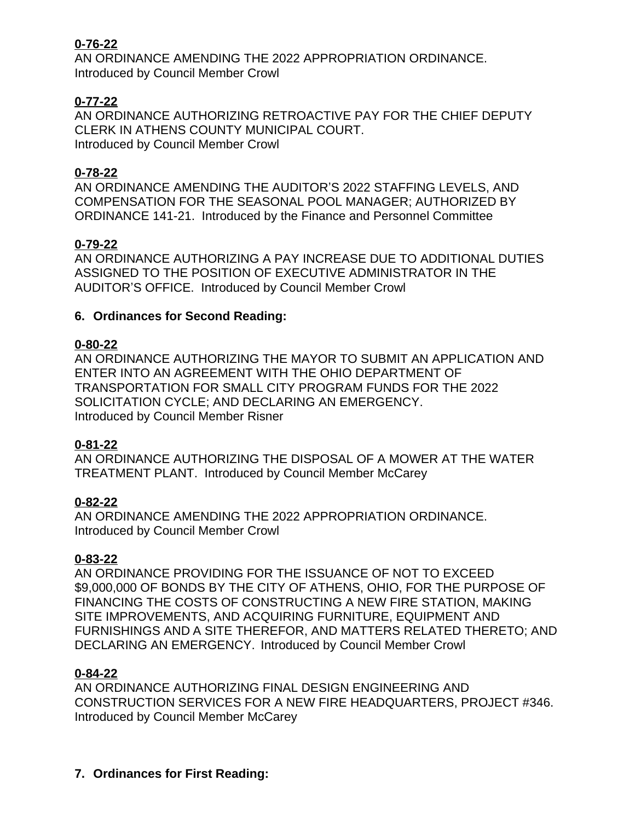# **0-76-22**

AN ORDINANCE AMENDING THE 2022 APPROPRIATION ORDINANCE. Introduced by Council Member Crowl

# **0-77-22**

AN ORDINANCE AUTHORIZING RETROACTIVE PAY FOR THE CHIEF DEPUTY CLERK IN ATHENS COUNTY MUNICIPAL COURT. Introduced by Council Member Crowl

#### **0-78-22**

AN ORDINANCE AMENDING THE AUDITOR'S 2022 STAFFING LEVELS, AND COMPENSATION FOR THE SEASONAL POOL MANAGER; AUTHORIZED BY ORDINANCE 141-21. Introduced by the Finance and Personnel Committee

#### **0-79-22**

AN ORDINANCE AUTHORIZING A PAY INCREASE DUE TO ADDITIONAL DUTIES ASSIGNED TO THE POSITION OF EXECUTIVE ADMINISTRATOR IN THE AUDITOR'S OFFICE. Introduced by Council Member Crowl

#### **6. Ordinances for Second Reading:**

#### **0-80-22**

AN ORDINANCE AUTHORIZING THE MAYOR TO SUBMIT AN APPLICATION AND ENTER INTO AN AGREEMENT WITH THE OHIO DEPARTMENT OF TRANSPORTATION FOR SMALL CITY PROGRAM FUNDS FOR THE 2022 SOLICITATION CYCLE; AND DECLARING AN EMERGENCY. Introduced by Council Member Risner

#### **0-81-22**

AN ORDINANCE AUTHORIZING THE DISPOSAL OF A MOWER AT THE WATER TREATMENT PLANT. Introduced by Council Member McCarey

#### **0-82-22**

AN ORDINANCE AMENDING THE 2022 APPROPRIATION ORDINANCE. Introduced by Council Member Crowl

#### **0-83-22**

AN ORDINANCE PROVIDING FOR THE ISSUANCE OF NOT TO EXCEED \$9,000,000 OF BONDS BY THE CITY OF ATHENS, OHIO, FOR THE PURPOSE OF FINANCING THE COSTS OF CONSTRUCTING A NEW FIRE STATION, MAKING SITE IMPROVEMENTS, AND ACQUIRING FURNITURE, EQUIPMENT AND FURNISHINGS AND A SITE THEREFOR, AND MATTERS RELATED THERETO; AND DECLARING AN EMERGENCY. Introduced by Council Member Crowl

#### **0-84-22**

AN ORDINANCE AUTHORIZING FINAL DESIGN ENGINEERING AND CONSTRUCTION SERVICES FOR A NEW FIRE HEADQUARTERS, PROJECT #346. Introduced by Council Member McCarey

#### **7. Ordinances for First Reading:**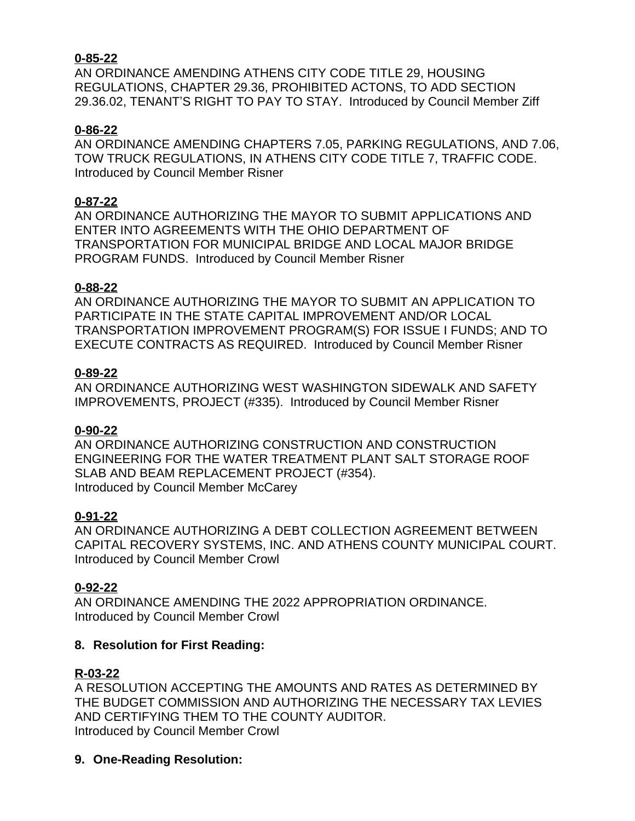#### **0-85-22**

AN ORDINANCE AMENDING ATHENS CITY CODE TITLE 29, HOUSING REGULATIONS, CHAPTER 29.36, PROHIBITED ACTONS, TO ADD SECTION 29.36.02, TENANT'S RIGHT TO PAY TO STAY. Introduced by Council Member Ziff

#### **0-86-22**

AN ORDINANCE AMENDING CHAPTERS 7.05, PARKING REGULATIONS, AND 7.06, TOW TRUCK REGULATIONS, IN ATHENS CITY CODE TITLE 7, TRAFFIC CODE. Introduced by Council Member Risner

#### **0-87-22**

AN ORDINANCE AUTHORIZING THE MAYOR TO SUBMIT APPLICATIONS AND ENTER INTO AGREEMENTS WITH THE OHIO DEPARTMENT OF TRANSPORTATION FOR MUNICIPAL BRIDGE AND LOCAL MAJOR BRIDGE PROGRAM FUNDS. Introduced by Council Member Risner

#### **0-88-22**

AN ORDINANCE AUTHORIZING THE MAYOR TO SUBMIT AN APPLICATION TO PARTICIPATE IN THE STATE CAPITAL IMPROVEMENT AND/OR LOCAL TRANSPORTATION IMPROVEMENT PROGRAM(S) FOR ISSUE I FUNDS; AND TO EXECUTE CONTRACTS AS REQUIRED. Introduced by Council Member Risner

#### **0-89-22**

AN ORDINANCE AUTHORIZING WEST WASHINGTON SIDEWALK AND SAFETY IMPROVEMENTS, PROJECT (#335). Introduced by Council Member Risner

# **0-90-22**

AN ORDINANCE AUTHORIZING CONSTRUCTION AND CONSTRUCTION ENGINEERING FOR THE WATER TREATMENT PLANT SALT STORAGE ROOF SLAB AND BEAM REPLACEMENT PROJECT (#354). Introduced by Council Member McCarey

# **0-91-22**

AN ORDINANCE AUTHORIZING A DEBT COLLECTION AGREEMENT BETWEEN CAPITAL RECOVERY SYSTEMS, INC. AND ATHENS COUNTY MUNICIPAL COURT. Introduced by Council Member Crowl

# **0-92-22**

AN ORDINANCE AMENDING THE 2022 APPROPRIATION ORDINANCE. Introduced by Council Member Crowl

# **8. Resolution for First Reading:**

# **R-03-22**

A RESOLUTION ACCEPTING THE AMOUNTS AND RATES AS DETERMINED BY THE BUDGET COMMISSION AND AUTHORIZING THE NECESSARY TAX LEVIES AND CERTIFYING THEM TO THE COUNTY AUDITOR. Introduced by Council Member Crowl

**9. One-Reading Resolution:**